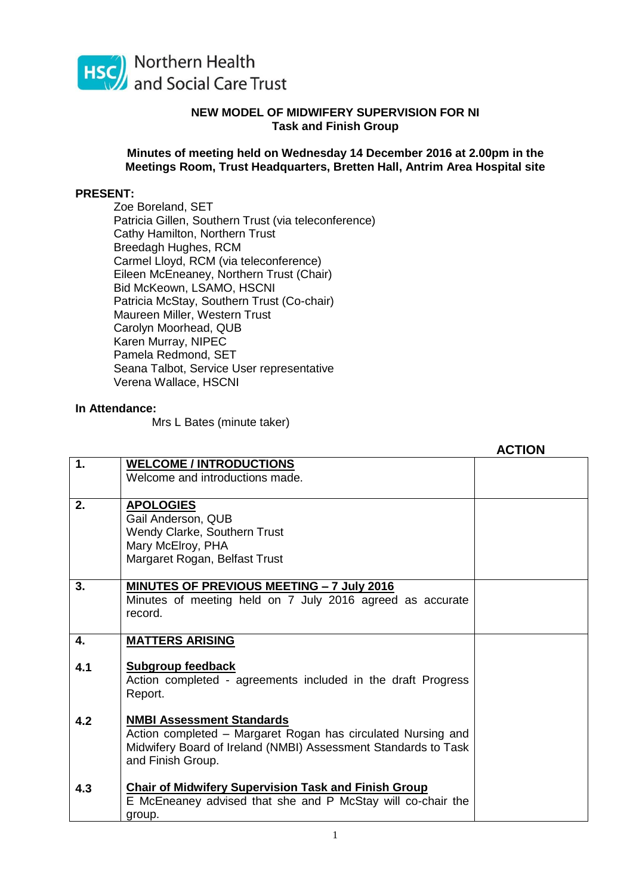

## **NEW MODEL OF MIDWIFERY SUPERVISION FOR NI Task and Finish Group**

## **Minutes of meeting held on Wednesday 14 December 2016 at 2.00pm in the Meetings Room, Trust Headquarters, Bretten Hall, Antrim Area Hospital site**

## **PRESENT:**

Zoe Boreland, SET Patricia Gillen, Southern Trust (via teleconference) Cathy Hamilton, Northern Trust Breedagh Hughes, RCM Carmel Lloyd, RCM (via teleconference) Eileen McEneaney, Northern Trust (Chair) Bid McKeown, LSAMO, HSCNI Patricia McStay, Southern Trust (Co-chair) Maureen Miller, Western Trust Carolyn Moorhead, QUB Karen Murray, NIPEC Pamela Redmond, SET Seana Talbot, Service User representative Verena Wallace, HSCNI

## **In Attendance:**

Mrs L Bates (minute taker)

|     |                                                                | <b>ACTION</b> |
|-----|----------------------------------------------------------------|---------------|
| 1.  | <b>WELCOME / INTRODUCTIONS</b>                                 |               |
|     | Welcome and introductions made.                                |               |
|     |                                                                |               |
| 2.  | <b>APOLOGIES</b>                                               |               |
|     | Gail Anderson, QUB                                             |               |
|     | Wendy Clarke, Southern Trust                                   |               |
|     | Mary McElroy, PHA                                              |               |
|     | Margaret Rogan, Belfast Trust                                  |               |
| 3.  | <b>MINUTES OF PREVIOUS MEETING - 7 July 2016</b>               |               |
|     | Minutes of meeting held on 7 July 2016 agreed as accurate      |               |
|     | record.                                                        |               |
|     |                                                                |               |
| 4.  | <b>MATTERS ARISING</b>                                         |               |
|     |                                                                |               |
| 4.1 | Subgroup feedback                                              |               |
|     | Action completed - agreements included in the draft Progress   |               |
|     | Report.                                                        |               |
| 4.2 | <b>NMBI Assessment Standards</b>                               |               |
|     | Action completed - Margaret Rogan has circulated Nursing and   |               |
|     | Midwifery Board of Ireland (NMBI) Assessment Standards to Task |               |
|     | and Finish Group.                                              |               |
|     |                                                                |               |
| 4.3 | <b>Chair of Midwifery Supervision Task and Finish Group</b>    |               |
|     | E McEneaney advised that she and P McStay will co-chair the    |               |
|     | group.                                                         |               |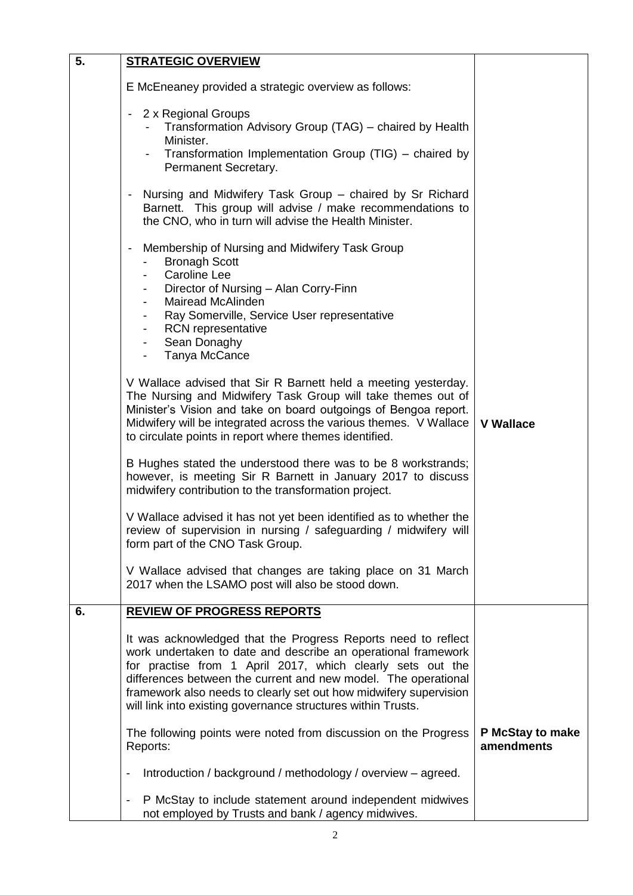| 5. | <b>STRATEGIC OVERVIEW</b>                                                                                                                                                                                                                                                                                                                                                                           |                                |
|----|-----------------------------------------------------------------------------------------------------------------------------------------------------------------------------------------------------------------------------------------------------------------------------------------------------------------------------------------------------------------------------------------------------|--------------------------------|
|    | E McEneaney provided a strategic overview as follows:                                                                                                                                                                                                                                                                                                                                               |                                |
|    | 2 x Regional Groups<br>Transformation Advisory Group (TAG) - chaired by Health<br>Minister.<br>Transformation Implementation Group (TIG) – chaired by<br>Permanent Secretary.                                                                                                                                                                                                                       |                                |
|    | Nursing and Midwifery Task Group - chaired by Sr Richard<br>Barnett. This group will advise / make recommendations to<br>the CNO, who in turn will advise the Health Minister.                                                                                                                                                                                                                      |                                |
|    | Membership of Nursing and Midwifery Task Group<br>$\overline{\phantom{a}}$<br><b>Bronagh Scott</b><br><b>Caroline Lee</b><br>Director of Nursing - Alan Corry-Finn<br>Mairead McAlinden<br>Ray Somerville, Service User representative<br><b>RCN</b> representative<br>Sean Donaghy<br>$\overline{\phantom{a}}$<br>Tanya McCance                                                                    |                                |
|    | V Wallace advised that Sir R Barnett held a meeting yesterday.<br>The Nursing and Midwifery Task Group will take themes out of<br>Minister's Vision and take on board outgoings of Bengoa report.<br>Midwifery will be integrated across the various themes. V Wallace<br>to circulate points in report where themes identified.                                                                    | <b>V Wallace</b>               |
|    | B Hughes stated the understood there was to be 8 workstrands;<br>however, is meeting Sir R Barnett in January 2017 to discuss<br>midwifery contribution to the transformation project.                                                                                                                                                                                                              |                                |
|    | V Wallace advised it has not yet been identified as to whether the<br>review of supervision in nursing / safeguarding / midwifery will<br>form part of the CNO Task Group.                                                                                                                                                                                                                          |                                |
|    | V Wallace advised that changes are taking place on 31 March<br>2017 when the LSAMO post will also be stood down.                                                                                                                                                                                                                                                                                    |                                |
| 6. | <b>REVIEW OF PROGRESS REPORTS</b>                                                                                                                                                                                                                                                                                                                                                                   |                                |
|    | It was acknowledged that the Progress Reports need to reflect<br>work undertaken to date and describe an operational framework<br>for practise from 1 April 2017, which clearly sets out the<br>differences between the current and new model. The operational<br>framework also needs to clearly set out how midwifery supervision<br>will link into existing governance structures within Trusts. |                                |
|    | The following points were noted from discussion on the Progress<br>Reports:                                                                                                                                                                                                                                                                                                                         | P McStay to make<br>amendments |
|    | Introduction / background / methodology / overview - agreed.<br>$\overline{\phantom{a}}$                                                                                                                                                                                                                                                                                                            |                                |
|    | P McStay to include statement around independent midwives<br>$\overline{\phantom{a}}$<br>not employed by Trusts and bank / agency midwives.                                                                                                                                                                                                                                                         |                                |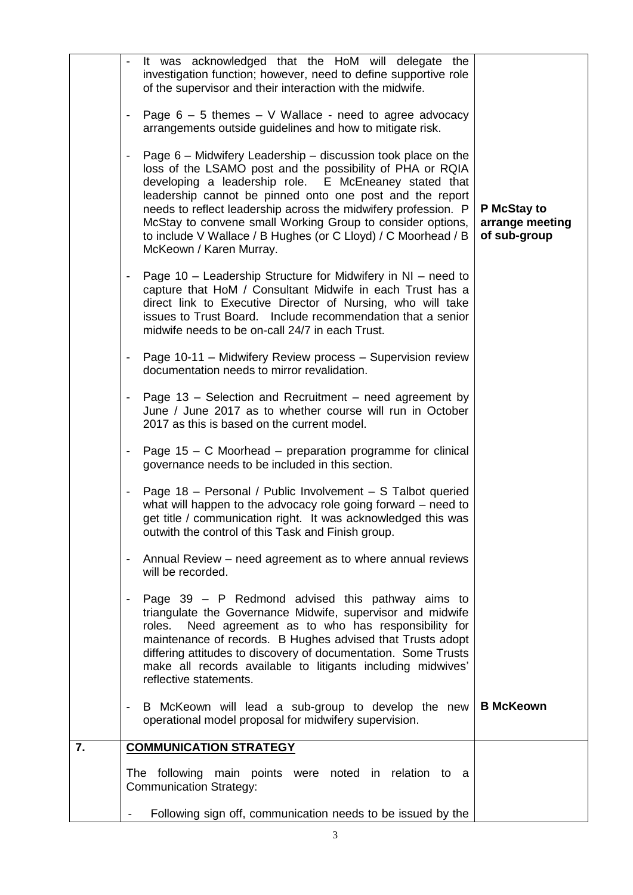|    | $\blacksquare$           | It was acknowledged that the HoM will delegate the<br>investigation function; however, need to define supportive role<br>of the supervisor and their interaction with the midwife.                                                                                                                                                                                                                                                                                         |                                                |
|----|--------------------------|----------------------------------------------------------------------------------------------------------------------------------------------------------------------------------------------------------------------------------------------------------------------------------------------------------------------------------------------------------------------------------------------------------------------------------------------------------------------------|------------------------------------------------|
|    | $\overline{\phantom{a}}$ | Page $6 - 5$ themes $- V$ Wallace - need to agree advocacy<br>arrangements outside guidelines and how to mitigate risk.                                                                                                                                                                                                                                                                                                                                                    |                                                |
|    | $\overline{\phantom{a}}$ | Page 6 – Midwifery Leadership – discussion took place on the<br>loss of the LSAMO post and the possibility of PHA or RQIA<br>developing a leadership role. E McEneaney stated that<br>leadership cannot be pinned onto one post and the report<br>needs to reflect leadership across the midwifery profession. P<br>McStay to convene small Working Group to consider options,<br>to include V Wallace / B Hughes (or C Lloyd) / C Moorhead / B<br>McKeown / Karen Murray. | P McStay to<br>arrange meeting<br>of sub-group |
|    | $\blacksquare$           | Page 10 – Leadership Structure for Midwifery in NI – need to<br>capture that HoM / Consultant Midwife in each Trust has a<br>direct link to Executive Director of Nursing, who will take<br>issues to Trust Board. Include recommendation that a senior<br>midwife needs to be on-call 24/7 in each Trust.                                                                                                                                                                 |                                                |
|    | $\blacksquare$           | Page 10-11 - Midwifery Review process - Supervision review<br>documentation needs to mirror revalidation.                                                                                                                                                                                                                                                                                                                                                                  |                                                |
|    | Ξ.                       | Page 13 – Selection and Recruitment – need agreement by<br>June / June 2017 as to whether course will run in October<br>2017 as this is based on the current model.                                                                                                                                                                                                                                                                                                        |                                                |
|    | $\overline{\phantom{a}}$ | Page $15 - C$ Moorhead – preparation programme for clinical<br>governance needs to be included in this section.                                                                                                                                                                                                                                                                                                                                                            |                                                |
|    | $\overline{\phantom{a}}$ | Page 18 - Personal / Public Involvement - S Talbot queried<br>what will happen to the advocacy role going forward – need to<br>get title / communication right. It was acknowledged this was<br>outwith the control of this Task and Finish group.                                                                                                                                                                                                                         |                                                |
|    |                          | Annual Review – need agreement as to where annual reviews<br>will be recorded.                                                                                                                                                                                                                                                                                                                                                                                             |                                                |
|    | $\blacksquare$           | Page $39 - P$ Redmond advised this pathway aims to<br>triangulate the Governance Midwife, supervisor and midwife<br>Need agreement as to who has responsibility for<br>roles.<br>maintenance of records. B Hughes advised that Trusts adopt<br>differing attitudes to discovery of documentation. Some Trusts<br>make all records available to litigants including midwives'<br>reflective statements.                                                                     |                                                |
|    | $\overline{\phantom{a}}$ | B McKeown will lead a sub-group to develop the new<br>operational model proposal for midwifery supervision.                                                                                                                                                                                                                                                                                                                                                                | <b>B</b> McKeown                               |
| 7. |                          | <b>COMMUNICATION STRATEGY</b>                                                                                                                                                                                                                                                                                                                                                                                                                                              |                                                |
|    |                          | The following main points were noted in relation to a<br><b>Communication Strategy:</b>                                                                                                                                                                                                                                                                                                                                                                                    |                                                |
|    |                          | Following sign off, communication needs to be issued by the                                                                                                                                                                                                                                                                                                                                                                                                                |                                                |